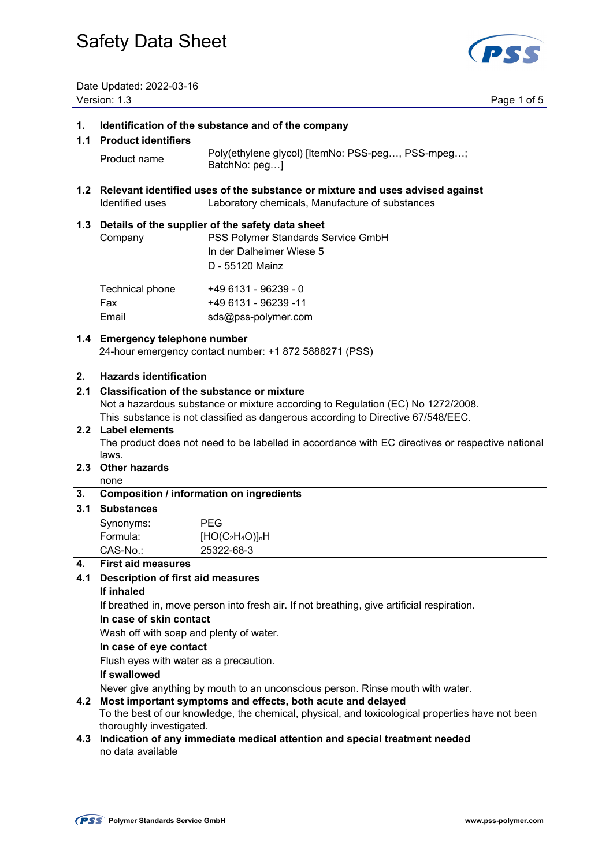

Date Updated: 2022-03-16

|           | Version: 1.3<br>Page 1 of 5                                                                                                                                                                                                                                                     |                                                                                                                                           |  |  |
|-----------|---------------------------------------------------------------------------------------------------------------------------------------------------------------------------------------------------------------------------------------------------------------------------------|-------------------------------------------------------------------------------------------------------------------------------------------|--|--|
| 1.<br>1.1 | Identification of the substance and of the company<br><b>Product identifiers</b>                                                                                                                                                                                                |                                                                                                                                           |  |  |
|           | Product name                                                                                                                                                                                                                                                                    | Poly(ethylene glycol) [ItemNo: PSS-peg, PSS-mpeg;<br>BatchNo: peg]                                                                        |  |  |
|           | Identified uses                                                                                                                                                                                                                                                                 | 1.2 Relevant identified uses of the substance or mixture and uses advised against<br>Laboratory chemicals, Manufacture of substances      |  |  |
|           | Company                                                                                                                                                                                                                                                                         | 1.3 Details of the supplier of the safety data sheet<br>PSS Polymer Standards Service GmbH<br>In der Dalheimer Wiese 5<br>D - 55120 Mainz |  |  |
|           | Technical phone<br>Fax<br>Email                                                                                                                                                                                                                                                 | +49 6131 - 96239 - 0<br>+49 6131 - 96239 -11<br>sds@pss-polymer.com                                                                       |  |  |
|           | 1.4 Emergency telephone number<br>24-hour emergency contact number: +1 872 5888271 (PSS)                                                                                                                                                                                        |                                                                                                                                           |  |  |
| 2.<br>2.1 | <b>Hazards identification</b><br><b>Classification of the substance or mixture</b><br>Not a hazardous substance or mixture according to Regulation (EC) No 1272/2008.<br>This substance is not classified as dangerous according to Directive 67/548/EEC.<br>2.2 Label elements |                                                                                                                                           |  |  |
| 2.3       | The product does not need to be labelled in accordance with EC directives or respective national<br>laws.<br><b>Other hazards</b>                                                                                                                                               |                                                                                                                                           |  |  |
| 3.        | none                                                                                                                                                                                                                                                                            | <b>Composition / information on ingredients</b>                                                                                           |  |  |
| 3.1       | <b>Substances</b>                                                                                                                                                                                                                                                               |                                                                                                                                           |  |  |
|           | Synonyms:<br>Formula:<br>CAS-No.:                                                                                                                                                                                                                                               | <b>PEG</b><br>$[HO(C2H4O)]nH$<br>25322-68-3                                                                                               |  |  |
| 4.        | <b>First aid measures</b>                                                                                                                                                                                                                                                       |                                                                                                                                           |  |  |
| 4.1       | <b>Description of first aid measures</b>                                                                                                                                                                                                                                        |                                                                                                                                           |  |  |
|           | If inhaled                                                                                                                                                                                                                                                                      |                                                                                                                                           |  |  |
|           | If breathed in, move person into fresh air. If not breathing, give artificial respiration.<br>In case of skin contact                                                                                                                                                           |                                                                                                                                           |  |  |
|           | Wash off with soap and plenty of water.                                                                                                                                                                                                                                         |                                                                                                                                           |  |  |
|           | In case of eye contact                                                                                                                                                                                                                                                          |                                                                                                                                           |  |  |
|           | Flush eyes with water as a precaution.<br>If swallowed                                                                                                                                                                                                                          |                                                                                                                                           |  |  |
|           |                                                                                                                                                                                                                                                                                 | Never give anything by mouth to an unconscious person. Rinse mouth with water.                                                            |  |  |
|           | 4.2 Most important symptoms and effects, both acute and delayed<br>To the best of our knowledge, the chemical, physical, and toxicological properties have not been                                                                                                             |                                                                                                                                           |  |  |
|           | thoroughly investigated.                                                                                                                                                                                                                                                        |                                                                                                                                           |  |  |
| 4.3       | Indication of any immediate medical attention and special treatment needed<br>no data available                                                                                                                                                                                 |                                                                                                                                           |  |  |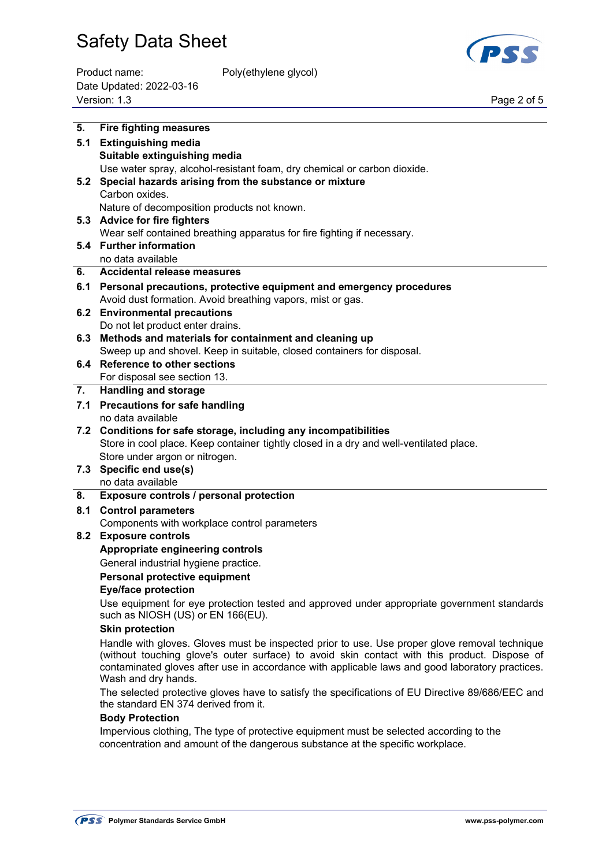

| Product name:            | Poly(ethylene glycol) |             |
|--------------------------|-----------------------|-------------|
| Date Updated: 2022-03-16 |                       |             |
| Version: 1.3             |                       | Page 2 of 5 |

| 5.  | <b>Fire fighting measures</b>                                                                                                                                                                                                                                                                                           |
|-----|-------------------------------------------------------------------------------------------------------------------------------------------------------------------------------------------------------------------------------------------------------------------------------------------------------------------------|
| 5.1 | <b>Extinguishing media</b>                                                                                                                                                                                                                                                                                              |
|     | Suitable extinguishing media                                                                                                                                                                                                                                                                                            |
|     | Use water spray, alcohol-resistant foam, dry chemical or carbon dioxide.                                                                                                                                                                                                                                                |
| 5.2 | Special hazards arising from the substance or mixture                                                                                                                                                                                                                                                                   |
|     | Carbon oxides.                                                                                                                                                                                                                                                                                                          |
|     | Nature of decomposition products not known.                                                                                                                                                                                                                                                                             |
|     | 5.3 Advice for fire fighters                                                                                                                                                                                                                                                                                            |
|     | Wear self contained breathing apparatus for fire fighting if necessary.                                                                                                                                                                                                                                                 |
|     | 5.4 Further information                                                                                                                                                                                                                                                                                                 |
|     | no data available                                                                                                                                                                                                                                                                                                       |
| 6.  | <b>Accidental release measures</b>                                                                                                                                                                                                                                                                                      |
|     | 6.1 Personal precautions, protective equipment and emergency procedures                                                                                                                                                                                                                                                 |
|     | Avoid dust formation. Avoid breathing vapors, mist or gas.                                                                                                                                                                                                                                                              |
|     | 6.2 Environmental precautions                                                                                                                                                                                                                                                                                           |
|     | Do not let product enter drains.                                                                                                                                                                                                                                                                                        |
|     | 6.3 Methods and materials for containment and cleaning up                                                                                                                                                                                                                                                               |
|     | Sweep up and shovel. Keep in suitable, closed containers for disposal.                                                                                                                                                                                                                                                  |
|     | 6.4 Reference to other sections                                                                                                                                                                                                                                                                                         |
|     | For disposal see section 13.                                                                                                                                                                                                                                                                                            |
| 7.  | <b>Handling and storage</b>                                                                                                                                                                                                                                                                                             |
| 7.1 | <b>Precautions for safe handling</b>                                                                                                                                                                                                                                                                                    |
|     | no data available                                                                                                                                                                                                                                                                                                       |
|     | 7.2 Conditions for safe storage, including any incompatibilities                                                                                                                                                                                                                                                        |
|     | Store in cool place. Keep container tightly closed in a dry and well-ventilated place.                                                                                                                                                                                                                                  |
|     | Store under argon or nitrogen.                                                                                                                                                                                                                                                                                          |
|     | 7.3 Specific end use(s)                                                                                                                                                                                                                                                                                                 |
|     | no data available                                                                                                                                                                                                                                                                                                       |
| 8.  | Exposure controls / personal protection                                                                                                                                                                                                                                                                                 |
| 8.1 | <b>Control parameters</b>                                                                                                                                                                                                                                                                                               |
|     | Components with workplace control parameters                                                                                                                                                                                                                                                                            |
|     | 8.2 Exposure controls                                                                                                                                                                                                                                                                                                   |
|     | Appropriate engineering controls                                                                                                                                                                                                                                                                                        |
|     | General industrial hygiene practice.                                                                                                                                                                                                                                                                                    |
|     | Personal protective equipment                                                                                                                                                                                                                                                                                           |
|     | <b>Eye/face protection</b>                                                                                                                                                                                                                                                                                              |
|     | Use equipment for eye protection tested and approved under appropriate government standards<br>such as NIOSH (US) or EN 166(EU).                                                                                                                                                                                        |
|     | <b>Skin protection</b>                                                                                                                                                                                                                                                                                                  |
|     | Handle with gloves. Gloves must be inspected prior to use. Use proper glove removal technique<br>(without touching glove's outer surface) to avoid skin contact with this product. Dispose of<br>contaminated gloves after use in accordance with applicable laws and good laboratory practices.<br>Wash and dry hands. |
|     | The selected protective gloves have to satisfy the specifications of EU Directive 89/686/EEC and<br>the standard EN 374 derived from it.                                                                                                                                                                                |
|     | <b>Body Protection</b>                                                                                                                                                                                                                                                                                                  |

 Impervious clothing, The type of protective equipment must be selected according to the concentration and amount of the dangerous substance at the specific workplace.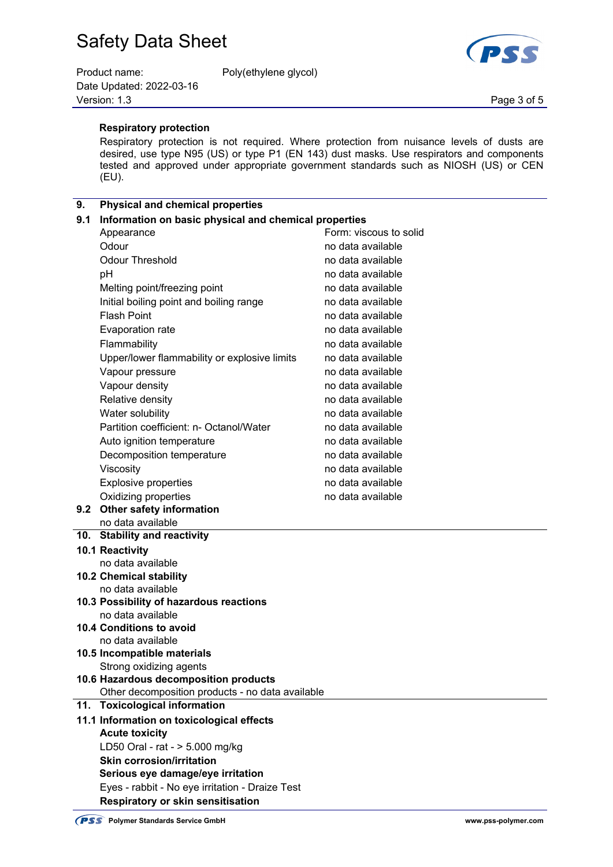| Product name:            | Poly(ethylene glycol) |             |
|--------------------------|-----------------------|-------------|
| Date Updated: 2022-03-16 |                       |             |
| Version: 1.3             |                       | Page 3 of 5 |



 **Respiratory protection**

 Respiratory protection is not required. Where protection from nuisance levels of dusts are desired, use type N95 (US) or type P1 (EN 143) dust masks. Use respirators and components tested and approved under appropriate government standards such as NIOSH (US) or CEN (EU).

### **9. Physical and chemical properties**

| 9.1 | Information on basic physical and chemical properties        |                        |  |
|-----|--------------------------------------------------------------|------------------------|--|
|     | Appearance                                                   | Form: viscous to solid |  |
|     | Odour                                                        | no data available      |  |
|     | <b>Odour Threshold</b>                                       | no data available      |  |
|     | рH                                                           | no data available      |  |
|     | Melting point/freezing point                                 | no data available      |  |
|     | Initial boiling point and boiling range                      | no data available      |  |
|     | <b>Flash Point</b>                                           | no data available      |  |
|     | Evaporation rate                                             | no data available      |  |
|     | Flammability                                                 | no data available      |  |
|     | Upper/lower flammability or explosive limits                 | no data available      |  |
|     | Vapour pressure                                              | no data available      |  |
|     | Vapour density                                               | no data available      |  |
|     | Relative density                                             | no data available      |  |
|     | Water solubility                                             | no data available      |  |
|     | Partition coefficient: n- Octanol/Water                      | no data available      |  |
|     | Auto ignition temperature                                    | no data available      |  |
|     | Decomposition temperature                                    | no data available      |  |
|     | Viscosity                                                    | no data available      |  |
|     | <b>Explosive properties</b>                                  | no data available      |  |
|     | Oxidizing properties                                         | no data available      |  |
|     | 9.2 Other safety information                                 |                        |  |
|     | no data available                                            |                        |  |
|     | 10. Stability and reactivity                                 |                        |  |
|     | 10.1 Reactivity                                              |                        |  |
|     | no data available                                            |                        |  |
|     | <b>10.2 Chemical stability</b>                               |                        |  |
|     | no data available<br>10.3 Possibility of hazardous reactions |                        |  |
|     | no data available                                            |                        |  |
|     | 10.4 Conditions to avoid                                     |                        |  |
|     | no data available                                            |                        |  |
|     | 10.5 Incompatible materials                                  |                        |  |
|     | Strong oxidizing agents                                      |                        |  |
|     | 10.6 Hazardous decomposition products                        |                        |  |
|     | Other decomposition products - no data available             |                        |  |
| 11. | <b>Toxicological information</b>                             |                        |  |
|     | 11.1 Information on toxicological effects                    |                        |  |
|     | <b>Acute toxicity</b>                                        |                        |  |
|     | LD50 Oral - rat - > 5.000 mg/kg                              |                        |  |
|     | <b>Skin corrosion/irritation</b>                             |                        |  |
|     | Serious eye damage/eye irritation                            |                        |  |
|     | Eyes - rabbit - No eye irritation - Draize Test              |                        |  |
|     | Respiratory or skin sensitisation                            |                        |  |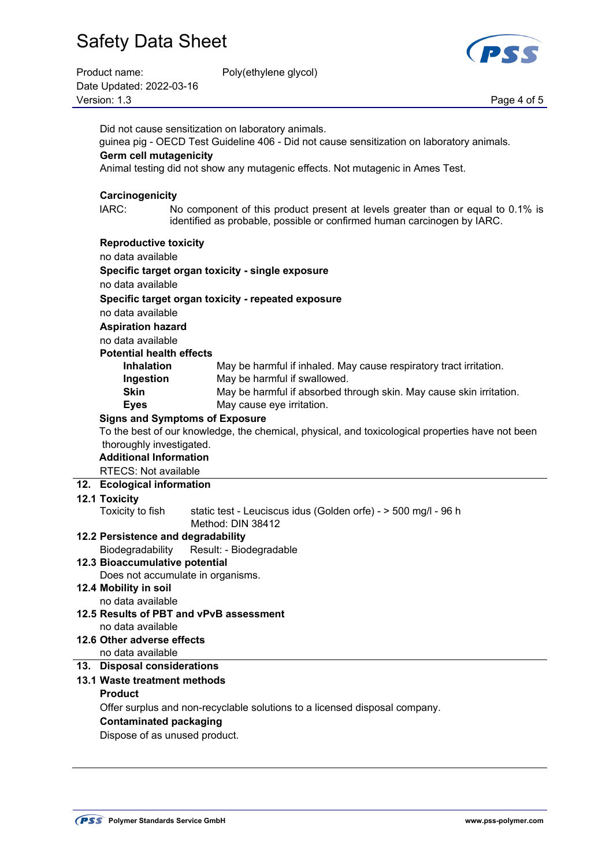| Product name:            | Poly(ethylene glycol) |             |
|--------------------------|-----------------------|-------------|
| Date Updated: 2022-03-16 |                       |             |
| Version: 1.3             |                       | Page 4 of 5 |

Poly(ethylene glycol)



| Did not cause sensitization on laboratory animals.                                                                                                                  |  |  |
|---------------------------------------------------------------------------------------------------------------------------------------------------------------------|--|--|
| guinea pig - OECD Test Guideline 406 - Did not cause sensitization on laboratory animals.                                                                           |  |  |
| <b>Germ cell mutagenicity</b><br>Animal testing did not show any mutagenic effects. Not mutagenic in Ames Test.                                                     |  |  |
| Carcinogenicity                                                                                                                                                     |  |  |
| IARC:<br>No component of this product present at levels greater than or equal to 0.1% is<br>identified as probable, possible or confirmed human carcinogen by IARC. |  |  |
| <b>Reproductive toxicity</b>                                                                                                                                        |  |  |
| no data available                                                                                                                                                   |  |  |
| Specific target organ toxicity - single exposure                                                                                                                    |  |  |
| no data available                                                                                                                                                   |  |  |
| Specific target organ toxicity - repeated exposure                                                                                                                  |  |  |
| no data available                                                                                                                                                   |  |  |
| <b>Aspiration hazard</b>                                                                                                                                            |  |  |
| no data available<br><b>Potential health effects</b>                                                                                                                |  |  |
| <b>Inhalation</b><br>May be harmful if inhaled. May cause respiratory tract irritation.                                                                             |  |  |
| May be harmful if swallowed.<br>Ingestion                                                                                                                           |  |  |
| <b>Skin</b><br>May be harmful if absorbed through skin. May cause skin irritation.                                                                                  |  |  |
| May cause eye irritation.<br><b>Eyes</b>                                                                                                                            |  |  |
| <b>Signs and Symptoms of Exposure</b>                                                                                                                               |  |  |
| To the best of our knowledge, the chemical, physical, and toxicological properties have not been                                                                    |  |  |
| thoroughly investigated.                                                                                                                                            |  |  |
| <b>Additional Information</b>                                                                                                                                       |  |  |
|                                                                                                                                                                     |  |  |
| <b>RTECS: Not available</b>                                                                                                                                         |  |  |
| 12. Ecological information                                                                                                                                          |  |  |
| 12.1 Toxicity                                                                                                                                                       |  |  |
| Toxicity to fish<br>static test - Leuciscus idus (Golden orfe) - > 500 mg/l - 96 h                                                                                  |  |  |
| Method: DIN 38412                                                                                                                                                   |  |  |
| 12.2 Persistence and degradability                                                                                                                                  |  |  |
| Biodegradability<br>Result: - Biodegradable<br>12.3 Bioaccumulative potential                                                                                       |  |  |
| Does not accumulate in organisms.                                                                                                                                   |  |  |
| 12.4 Mobility in soil                                                                                                                                               |  |  |
| no data available                                                                                                                                                   |  |  |
| 12.5 Results of PBT and vPvB assessment                                                                                                                             |  |  |
| no data available                                                                                                                                                   |  |  |
| 12.6 Other adverse effects                                                                                                                                          |  |  |
| no data available<br>13. Disposal considerations                                                                                                                    |  |  |
| 13.1 Waste treatment methods                                                                                                                                        |  |  |
| <b>Product</b>                                                                                                                                                      |  |  |
| Offer surplus and non-recyclable solutions to a licensed disposal company.                                                                                          |  |  |
| <b>Contaminated packaging</b>                                                                                                                                       |  |  |